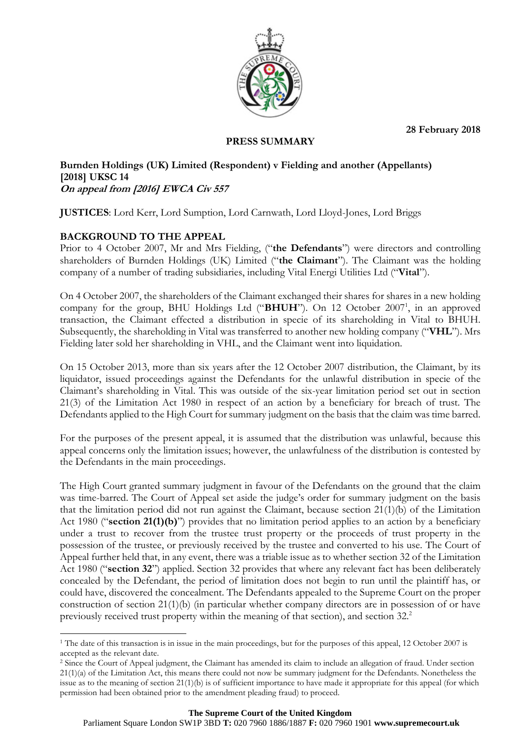**28 February 2018**



## **PRESS SUMMARY**

#### **Burnden Holdings (UK) Limited (Respondent) v Fielding and another (Appellants) [2018] UKSC 14 On appeal from [2016] EWCA Civ 557**

**JUSTICES**: Lord Kerr, Lord Sumption, Lord Carnwath, Lord Lloyd-Jones, Lord Briggs

# **BACKGROUND TO THE APPEAL**

Prior to 4 October 2007, Mr and Mrs Fielding, ("**the Defendants**") were directors and controlling shareholders of Burnden Holdings (UK) Limited ("**the Claimant**"). The Claimant was the holding company of a number of trading subsidiaries, including Vital Energi Utilities Ltd ("**Vital**").

On 4 October 2007, the shareholders of the Claimant exchanged their shares for shares in a new holding company for the group, BHU Holdings Ltd ("BHUH"). On 12 October 2007<sup>1</sup>, in an approved transaction, the Claimant effected a distribution in specie of its shareholding in Vital to BHUH. Subsequently, the shareholding in Vital was transferred to another new holding company ("**VHL**"). Mrs Fielding later sold her shareholding in VHL, and the Claimant went into liquidation.

On 15 October 2013, more than six years after the 12 October 2007 distribution, the Claimant, by its liquidator, issued proceedings against the Defendants for the unlawful distribution in specie of the Claimant's shareholding in Vital. This was outside of the six-year limitation period set out in section 21(3) of the Limitation Act 1980 in respect of an action by a beneficiary for breach of trust. The Defendants applied to the High Court for summary judgment on the basis that the claim was time barred.

For the purposes of the present appeal, it is assumed that the distribution was unlawful, because this appeal concerns only the limitation issues; however, the unlawfulness of the distribution is contested by the Defendants in the main proceedings.

The High Court granted summary judgment in favour of the Defendants on the ground that the claim was time-barred. The Court of Appeal set aside the judge's order for summary judgment on the basis that the limitation period did not run against the Claimant, because section 21(1)(b) of the Limitation Act 1980 ("**section 21(1)(b)**") provides that no limitation period applies to an action by a beneficiary under a trust to recover from the trustee trust property or the proceeds of trust property in the possession of the trustee, or previously received by the trustee and converted to his use. The Court of Appeal further held that, in any event, there was a triable issue as to whether section 32 of the Limitation Act 1980 ("**section 32**") applied. Section 32 provides that where any relevant fact has been deliberately concealed by the Defendant, the period of limitation does not begin to run until the plaintiff has, or could have, discovered the concealment. The Defendants appealed to the Supreme Court on the proper construction of section  $21(1)(b)$  (in particular whether company directors are in possession of or have previously received trust property within the meaning of that section), and section 32.<sup>2</sup>

<sup>1</sup> <sup>1</sup> The date of this transaction is in issue in the main proceedings, but for the purposes of this appeal, 12 October 2007 is accepted as the relevant date.

<sup>2</sup> Since the Court of Appeal judgment, the Claimant has amended its claim to include an allegation of fraud. Under section  $21(1)(a)$  of the Limitation Act, this means there could not now be summary judgment for the Defendants. Nonetheless the issue as to the meaning of section 21(1)(b) is of sufficient importance to have made it appropriate for this appeal (for which permission had been obtained prior to the amendment pleading fraud) to proceed.